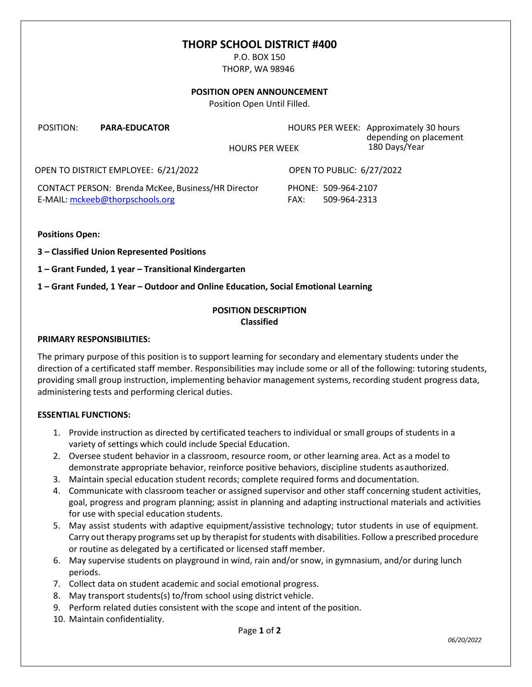# **THORP SCHOOL DISTRICT #400**

P.O. BOX 150 THORP, WA 98946

#### **POSITION OPEN ANNOUNCEMENT**

Position Open Until Filled.

| POSITION:                            | <b>PARA-EDUCATOR</b> | <b>HOURS PER WEEK</b>            | HOURS PER WEEK: Approximately 30 hours<br>depending on placement<br>180 Days/Year |
|--------------------------------------|----------------------|----------------------------------|-----------------------------------------------------------------------------------|
| OPEN TO DISTRICT EMPLOYEE: 6/21/2022 |                      | <b>OPEN TO PUBLIC: 6/27/2022</b> |                                                                                   |

CONTACT PERSON: Brenda McKee, Business/HR Director PHONE: 509-964-2107 E-MAIL: [mckeeb@thorpschools.org](mailto:mckeeb@thorpschools.org) FAX: 509-964-2313

**Positions Open:**

**3 – Classified Union Represented Positions**

**1 – Grant Funded, 1 year – Transitional Kindergarten**

**1 – Grant Funded, 1 Year – Outdoor and Online Education, Social Emotional Learning**

### **POSITION DESCRIPTION Classified**

#### **PRIMARY RESPONSIBILITIES:**

The primary purpose of this position is to support learning for secondary and elementary students under the direction of a certificated staff member. Responsibilities may include some or all of the following: tutoring students, providing small group instruction, implementing behavior management systems, recording student progress data, administering tests and performing clerical duties.

### **ESSENTIAL FUNCTIONS:**

- 1. Provide instruction as directed by certificated teachers to individual or small groups of students in a variety of settings which could include Special Education.
- 2. Oversee student behavior in a classroom, resource room, or other learning area. Act as a model to demonstrate appropriate behavior, reinforce positive behaviors, discipline students asauthorized.
- 3. Maintain special education student records; complete required forms and documentation.
- 4. Communicate with classroom teacher or assigned supervisor and other staff concerning student activities, goal, progress and program planning; assist in planning and adapting instructional materials and activities for use with special education students.
- 5. May assist students with adaptive equipment/assistive technology; tutor students in use of equipment. Carry out therapy programs set up by therapist for students with disabilities. Follow a prescribed procedure or routine as delegated by a certificated or licensed staff member.
- 6. May supervise students on playground in wind, rain and/or snow, in gymnasium, and/or during lunch periods.
- 7. Collect data on student academic and social emotional progress.
- 8. May transport students(s) to/from school using district vehicle.
- 9. Perform related duties consistent with the scope and intent of the position.
- 10. Maintain confidentiality.